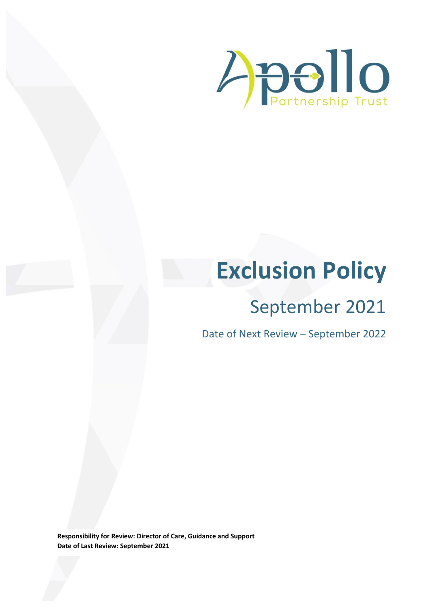

# **Exclusion Policy**

## September 2021

Date of Next Review – September 2022

**Responsibility for Review: Director of Care, Guidance and Support Date of Last Review: September 2021**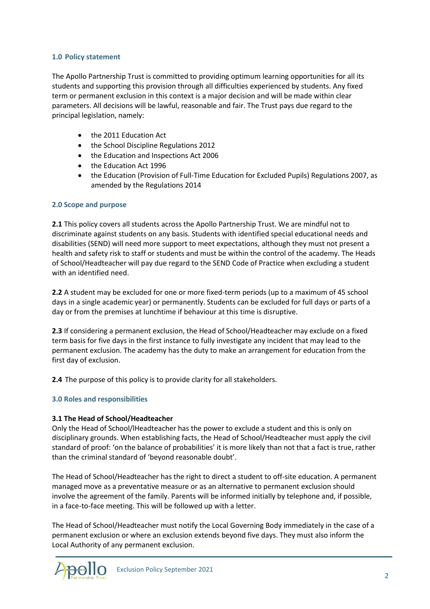#### **1.0 Policy statement**

The Apollo Partnership Trust is committed to providing optimum learning opportunities for all its students and supporting this provision through all difficulties experienced by students. Any fixed term or permanent exclusion in this context is a major decision and will be made within clear parameters. All decisions will be lawful, reasonable and fair. The Trust pays due regard to the principal legislation, namely:

- the 2011 Education Act
- the School Discipline Regulations 2012
- the Education and Inspections Act 2006
- the Education Act 1996
- the Education (Provision of Full-Time Education for Excluded Pupils) Regulations 2007, as amended by the Regulations 2014

#### **2.0 Scope and purpose**

**2.1** This policy covers all students across the Apollo Partnership Trust. We are mindful not to discriminate against students on any basis. Students with identified special educational needs and disabilities (SEND) will need more support to meet expectations, although they must not present a health and safety risk to staff or students and must be within the control of the academy. The Heads of School/Headteacher will pay due regard to the SEND Code of Practice when excluding a student with an identified need.

**2.2** A student may be excluded for one or more fixed-term periods (up to a maximum of 45 school days in a single academic year) or permanently. Students can be excluded for full days or parts of a day or from the premises at lunchtime if behaviour at this time is disruptive.

**2.3** If considering a permanent exclusion, the Head of School/Headteacher may exclude on a fixed term basis for five days in the first instance to fully investigate any incident that may lead to the permanent exclusion. The academy has the duty to make an arrangement for education from the first day of exclusion.

**2.4** The purpose of this policy is to provide clarity for all stakeholders.

#### **3.0 Roles and responsibilities**

#### **3.1 The Head of School/Headteacher**

Only the Head of School/lHeadteacher has the power to exclude a student and this is only on disciplinary grounds. When establishing facts, the Head of School/Headteacher must apply the civil standard of proof: 'on the balance of probabilities' it is more likely than not that a fact is true, rather than the criminal standard of 'beyond reasonable doubt'.

The Head of School/Headteacher has the right to direct a student to off-site education. A permanent managed move as a preventative measure or as an alternative to permanent exclusion should involve the agreement of the family. Parents will be informed initially by telephone and, if possible, in a face-to-face meeting. This will be followed up with a letter.

The Head of School/Headteacher must notify the Local Governing Body immediately in the case of a permanent exclusion or where an exclusion extends beyond five days. They must also inform the Local Authority of any permanent exclusion.

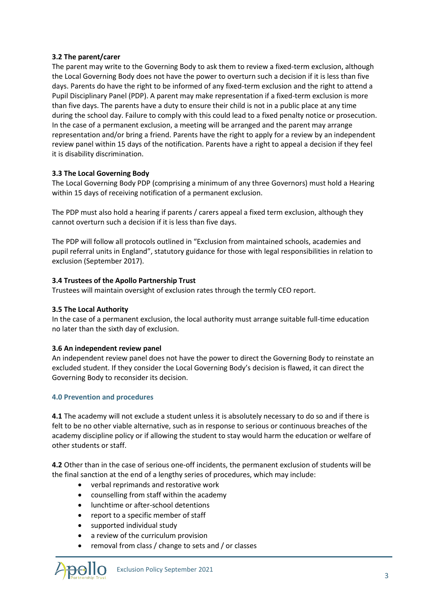#### **3.2 The parent/carer**

The parent may write to the Governing Body to ask them to review a fixed-term exclusion, although the Local Governing Body does not have the power to overturn such a decision if it is less than five days. Parents do have the right to be informed of any fixed-term exclusion and the right to attend a Pupil Disciplinary Panel (PDP). A parent may make representation if a fixed-term exclusion is more than five days. The parents have a duty to ensure their child is not in a public place at any time during the school day. Failure to comply with this could lead to a fixed penalty notice or prosecution. In the case of a permanent exclusion, a meeting will be arranged and the parent may arrange representation and/or bring a friend. Parents have the right to apply for a review by an independent review panel within 15 days of the notification. Parents have a right to appeal a decision if they feel it is disability discrimination.

### **3.3 The Local Governing Body**

The Local Governing Body PDP (comprising a minimum of any three Governors) must hold a Hearing within 15 days of receiving notification of a permanent exclusion.

The PDP must also hold a hearing if parents / carers appeal a fixed term exclusion, although they cannot overturn such a decision if it is less than five days.

The PDP will follow all protocols outlined in "Exclusion from maintained schools, academies and pupil referral units in England", statutory guidance for those with legal responsibilities in relation to exclusion (September 2017).

#### **3.4 Trustees of the Apollo Partnership Trust**

Trustees will maintain oversight of exclusion rates through the termly CEO report.

#### **3.5 The Local Authority**

In the case of a permanent exclusion, the local authority must arrange suitable full-time education no later than the sixth day of exclusion.

#### **3.6 An independent review panel**

An independent review panel does not have the power to direct the Governing Body to reinstate an excluded student. If they consider the Local Governing Body's decision is flawed, it can direct the Governing Body to reconsider its decision.

#### **4.0 Prevention and procedures**

**4.1** The academy will not exclude a student unless it is absolutely necessary to do so and if there is felt to be no other viable alternative, such as in response to serious or continuous breaches of the academy discipline policy or if allowing the student to stay would harm the education or welfare of other students or staff.

**4.2** Other than in the case of serious one-off incidents, the permanent exclusion of students will be the final sanction at the end of a lengthy series of procedures, which may include:

- verbal reprimands and restorative work
- counselling from staff within the academy
- lunchtime or after-school detentions
- report to a specific member of staff
- supported individual study
- a review of the curriculum provision
- removal from class / change to sets and / or classes

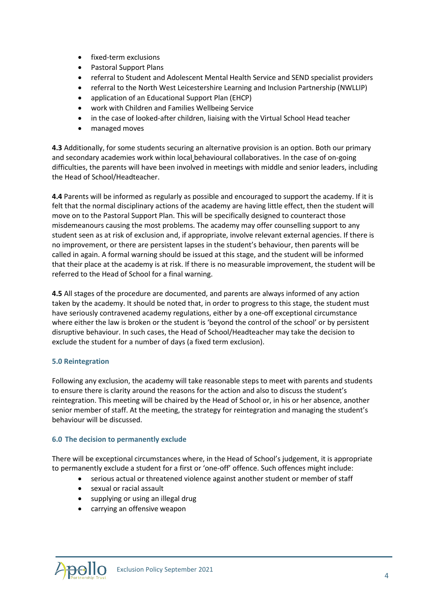- fixed-term exclusions
- Pastoral Support Plans
- referral to Student and Adolescent Mental Health Service and SEND specialist providers
- referral to the North West Leicestershire Learning and Inclusion Partnership (NWLLIP)
- application of an Educational Support Plan (EHCP)
- work with Children and Families Wellbeing Service
- in the case of looked-after children, liaising with the Virtual School Head teacher
- managed moves

**4.3** Additionally, for some students securing an alternative provision is an option. Both our primary and secondary academies work within local behavioural collaboratives. In the case of on-going difficulties, the parents will have been involved in meetings with middle and senior leaders, including the Head of School/Headteacher.

**4.4** Parents will be informed as regularly as possible and encouraged to support the academy. If it is felt that the normal disciplinary actions of the academy are having little effect, then the student will move on to the Pastoral Support Plan. This will be specifically designed to counteract those misdemeanours causing the most problems. The academy may offer counselling support to any student seen as at risk of exclusion and, if appropriate, involve relevant external agencies. If there is no improvement, or there are persistent lapses in the student's behaviour, then parents will be called in again. A formal warning should be issued at this stage, and the student will be informed that their place at the academy is at risk. If there is no measurable improvement, the student will be referred to the Head of School for a final warning.

**4.5** All stages of the procedure are documented, and parents are always informed of any action taken by the academy. It should be noted that, in order to progress to this stage, the student must have seriously contravened academy regulations, either by a one-off exceptional circumstance where either the law is broken or the student is 'beyond the control of the school' or by persistent disruptive behaviour. In such cases, the Head of School/Headteacher may take the decision to exclude the student for a number of days (a fixed term exclusion).

#### **5.0 Reintegration**

Following any exclusion, the academy will take reasonable steps to meet with parents and students to ensure there is clarity around the reasons for the action and also to discuss the student's reintegration. This meeting will be chaired by the Head of School or, in his or her absence, another senior member of staff. At the meeting, the strategy for reintegration and managing the student's behaviour will be discussed.

#### **6.0 The decision to permanently exclude**

There will be exceptional circumstances where, in the Head of School's judgement, it is appropriate to permanently exclude a student for a first or 'one-off' offence. Such offences might include:

- serious actual or threatened violence against another student or member of staff
- sexual or racial assault
- supplying or using an illegal drug
- carrying an offensive weapon